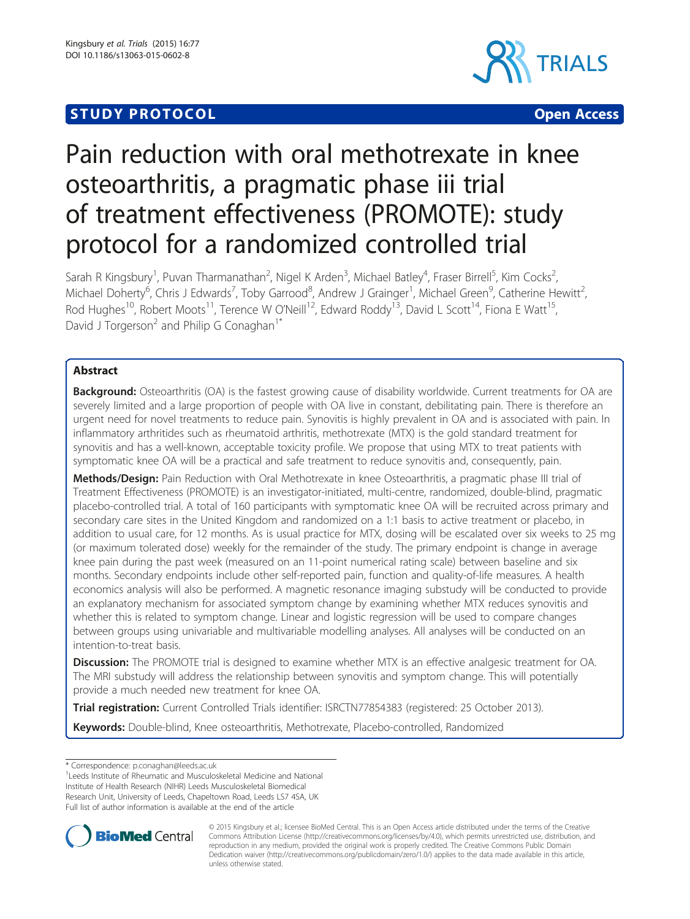## **STUDY PROTOCOL CONSUMING THE CONSUMING OPEN ACCESS**



# Pain reduction with oral methotrexate in knee osteoarthritis, a pragmatic phase iii trial of treatment effectiveness (PROMOTE): study protocol for a randomized controlled trial

Sarah R Kingsbury<sup>1</sup>, Puvan Tharmanathan<sup>2</sup>, Nigel K Arden<sup>3</sup>, Michael Batley<sup>4</sup>, Fraser Birrell<sup>5</sup>, Kim Cocks<sup>2</sup> , Michael Doherty<sup>6</sup>, Chris J Edwards<sup>7</sup>, Toby Garrood<sup>8</sup>, Andrew J Grainger<sup>1</sup>, Michael Green<sup>9</sup>, Catherine Hewitt<sup>2</sup> , Rod Hughes<sup>10</sup>, Robert Moots<sup>11</sup>, Terence W O'Neill<sup>12</sup>, Edward Roddy<sup>13</sup>, David L Scott<sup>14</sup>, Fiona E Watt<sup>15</sup>, David J Torgerson<sup>2</sup> and Philip G Conaghan<sup>1\*</sup>

## Abstract

Background: Osteoarthritis (OA) is the fastest growing cause of disability worldwide. Current treatments for OA are severely limited and a large proportion of people with OA live in constant, debilitating pain. There is therefore an urgent need for novel treatments to reduce pain. Synovitis is highly prevalent in OA and is associated with pain. In inflammatory arthritides such as rheumatoid arthritis, methotrexate (MTX) is the gold standard treatment for synovitis and has a well-known, acceptable toxicity profile. We propose that using MTX to treat patients with symptomatic knee OA will be a practical and safe treatment to reduce synovitis and, consequently, pain.

Methods/Design: Pain Reduction with Oral Methotrexate in knee Osteoarthritis, a pragmatic phase III trial of Treatment Effectiveness (PROMOTE) is an investigator-initiated, multi-centre, randomized, double-blind, pragmatic placebo-controlled trial. A total of 160 participants with symptomatic knee OA will be recruited across primary and secondary care sites in the United Kingdom and randomized on a 1:1 basis to active treatment or placebo, in addition to usual care, for 12 months. As is usual practice for MTX, dosing will be escalated over six weeks to 25 mg (or maximum tolerated dose) weekly for the remainder of the study. The primary endpoint is change in average knee pain during the past week (measured on an 11-point numerical rating scale) between baseline and six months. Secondary endpoints include other self-reported pain, function and quality-of-life measures. A health economics analysis will also be performed. A magnetic resonance imaging substudy will be conducted to provide an explanatory mechanism for associated symptom change by examining whether MTX reduces synovitis and whether this is related to symptom change. Linear and logistic regression will be used to compare changes between groups using univariable and multivariable modelling analyses. All analyses will be conducted on an intention-to-treat basis.

**Discussion:** The PROMOTE trial is designed to examine whether MTX is an effective analgesic treatment for OA. The MRI substudy will address the relationship between synovitis and symptom change. This will potentially provide a much needed new treatment for knee OA.

Trial registration: Current Controlled Trials identifier: [ISRCTN77854383](http://www.controlled-trials.com/ISRCTN77854383) (registered: 25 October 2013).

Keywords: Double-blind, Knee osteoarthritis, Methotrexate, Placebo-controlled, Randomized

\* Correspondence: [p.conaghan@leeds.ac.uk](mailto:p.conaghan@leeds.ac.uk) <sup>1</sup>

<sup>1</sup> Leeds Institute of Rheumatic and Musculoskeletal Medicine and National Institute of Health Research (NIHR) Leeds Musculoskeletal Biomedical Research Unit, University of Leeds, Chapeltown Road, Leeds LS7 4SA, UK Full list of author information is available at the end of the article



© 2015 Kingsbury et al.; licensee BioMed Central. This is an Open Access article distributed under the terms of the Creative Commons Attribution License [\(http://creativecommons.org/licenses/by/4.0\)](http://creativecommons.org/licenses/by/4.0), which permits unrestricted use, distribution, and reproduction in any medium, provided the original work is properly credited. The Creative Commons Public Domain Dedication waiver [\(http://creativecommons.org/publicdomain/zero/1.0/](http://creativecommons.org/publicdomain/zero/1.0/)) applies to the data made available in this article, unless otherwise stated.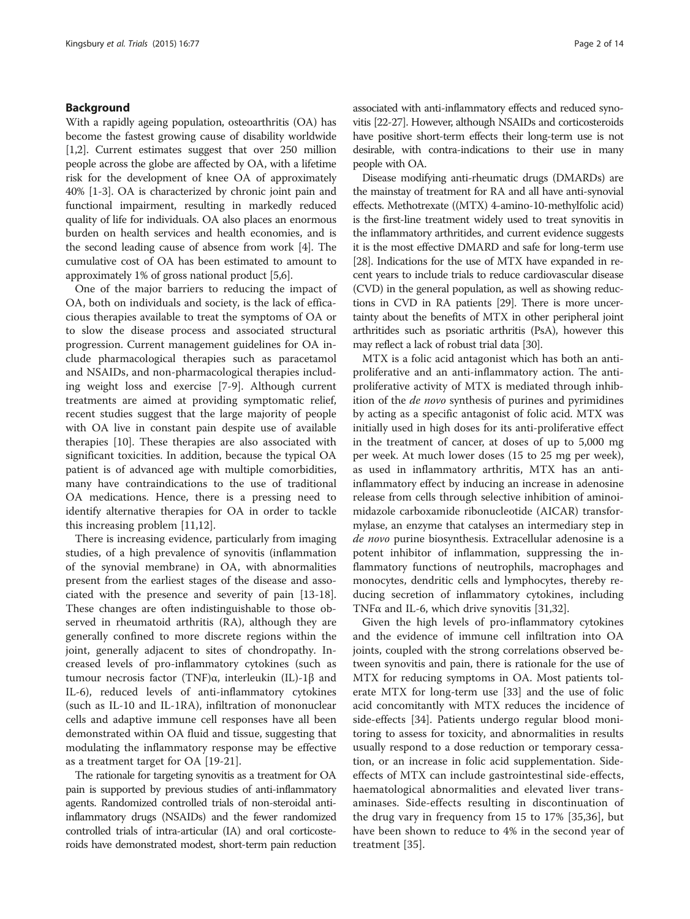## Background

With a rapidly ageing population, osteoarthritis (OA) has become the fastest growing cause of disability worldwide [[1,2](#page-11-0)]. Current estimates suggest that over 250 million people across the globe are affected by OA, with a lifetime risk for the development of knee OA of approximately 40% [[1-](#page-11-0)[3\]](#page-12-0). OA is characterized by chronic joint pain and functional impairment, resulting in markedly reduced quality of life for individuals. OA also places an enormous burden on health services and health economies, and is the second leading cause of absence from work [[4](#page-12-0)]. The cumulative cost of OA has been estimated to amount to approximately 1% of gross national product [\[5,6\]](#page-12-0).

One of the major barriers to reducing the impact of OA, both on individuals and society, is the lack of efficacious therapies available to treat the symptoms of OA or to slow the disease process and associated structural progression. Current management guidelines for OA include pharmacological therapies such as paracetamol and NSAIDs, and non-pharmacological therapies including weight loss and exercise [[7-9\]](#page-12-0). Although current treatments are aimed at providing symptomatic relief, recent studies suggest that the large majority of people with OA live in constant pain despite use of available therapies [\[10\]](#page-12-0). These therapies are also associated with significant toxicities. In addition, because the typical OA patient is of advanced age with multiple comorbidities, many have contraindications to the use of traditional OA medications. Hence, there is a pressing need to identify alternative therapies for OA in order to tackle this increasing problem [\[11,12\]](#page-12-0).

There is increasing evidence, particularly from imaging studies, of a high prevalence of synovitis (inflammation of the synovial membrane) in OA, with abnormalities present from the earliest stages of the disease and associated with the presence and severity of pain [\[13-18](#page-12-0)]. These changes are often indistinguishable to those observed in rheumatoid arthritis (RA), although they are generally confined to more discrete regions within the joint, generally adjacent to sites of chondropathy. Increased levels of pro-inflammatory cytokines (such as tumour necrosis factor (TNF)α, interleukin (IL)-1β and IL-6), reduced levels of anti-inflammatory cytokines (such as IL-10 and IL-1RA), infiltration of mononuclear cells and adaptive immune cell responses have all been demonstrated within OA fluid and tissue, suggesting that modulating the inflammatory response may be effective as a treatment target for OA [[19-21](#page-12-0)].

The rationale for targeting synovitis as a treatment for OA pain is supported by previous studies of anti-inflammatory agents. Randomized controlled trials of non-steroidal antiinflammatory drugs (NSAIDs) and the fewer randomized controlled trials of intra-articular (IA) and oral corticosteroids have demonstrated modest, short-term pain reduction associated with anti-inflammatory effects and reduced synovitis [[22-27\]](#page-12-0). However, although NSAIDs and corticosteroids have positive short-term effects their long-term use is not desirable, with contra-indications to their use in many people with OA.

Disease modifying anti-rheumatic drugs (DMARDs) are the mainstay of treatment for RA and all have anti-synovial effects. Methotrexate ((MTX) 4-amino-10-methylfolic acid) is the first-line treatment widely used to treat synovitis in the inflammatory arthritides, and current evidence suggests it is the most effective DMARD and safe for long-term use [[28](#page-12-0)]. Indications for the use of MTX have expanded in recent years to include trials to reduce cardiovascular disease (CVD) in the general population, as well as showing reductions in CVD in RA patients [[29](#page-12-0)]. There is more uncertainty about the benefits of MTX in other peripheral joint arthritides such as psoriatic arthritis (PsA), however this may reflect a lack of robust trial data [\[30](#page-12-0)].

MTX is a folic acid antagonist which has both an antiproliferative and an anti-inflammatory action. The antiproliferative activity of MTX is mediated through inhibition of the de novo synthesis of purines and pyrimidines by acting as a specific antagonist of folic acid. MTX was initially used in high doses for its anti-proliferative effect in the treatment of cancer, at doses of up to 5,000 mg per week. At much lower doses (15 to 25 mg per week), as used in inflammatory arthritis, MTX has an antiinflammatory effect by inducing an increase in adenosine release from cells through selective inhibition of aminoimidazole carboxamide ribonucleotide (AICAR) transformylase, an enzyme that catalyses an intermediary step in de novo purine biosynthesis. Extracellular adenosine is a potent inhibitor of inflammation, suppressing the inflammatory functions of neutrophils, macrophages and monocytes, dendritic cells and lymphocytes, thereby reducing secretion of inflammatory cytokines, including TNFα and IL-6, which drive synovitis [[31](#page-12-0),[32](#page-12-0)].

Given the high levels of pro-inflammatory cytokines and the evidence of immune cell infiltration into OA joints, coupled with the strong correlations observed between synovitis and pain, there is rationale for the use of MTX for reducing symptoms in OA. Most patients tolerate MTX for long-term use [\[33](#page-12-0)] and the use of folic acid concomitantly with MTX reduces the incidence of side-effects [[34\]](#page-12-0). Patients undergo regular blood monitoring to assess for toxicity, and abnormalities in results usually respond to a dose reduction or temporary cessation, or an increase in folic acid supplementation. Sideeffects of MTX can include gastrointestinal side-effects, haematological abnormalities and elevated liver transaminases. Side-effects resulting in discontinuation of the drug vary in frequency from 15 to 17% [[35,36\]](#page-12-0), but have been shown to reduce to 4% in the second year of treatment [\[35\]](#page-12-0).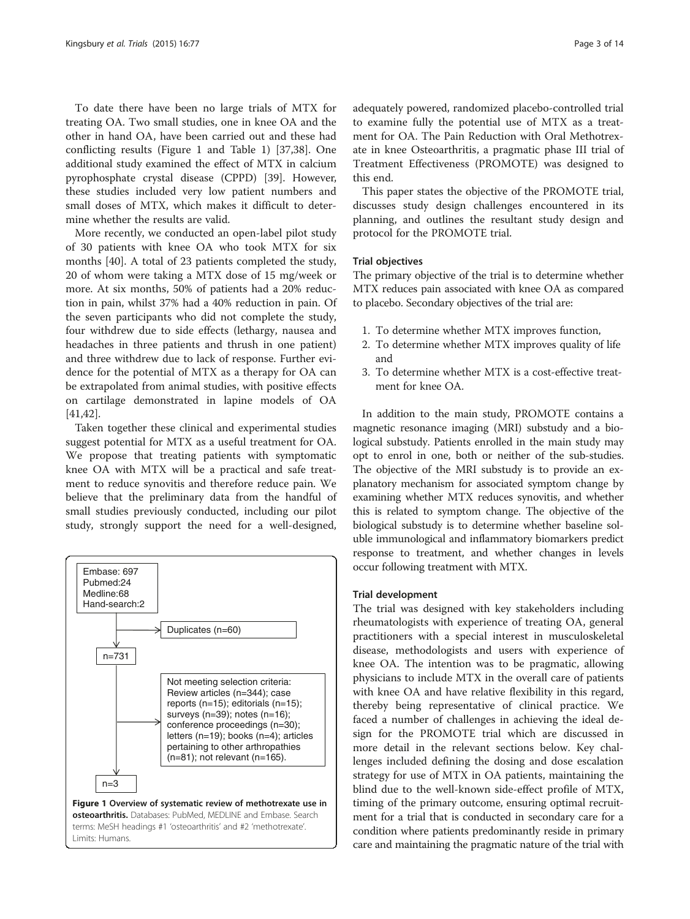To date there have been no large trials of MTX for treating OA. Two small studies, one in knee OA and the other in hand OA, have been carried out and these had conflicting results (Figure 1 and Table [1](#page-3-0)) [\[37,38](#page-12-0)]. One additional study examined the effect of MTX in calcium pyrophosphate crystal disease (CPPD) [\[39\]](#page-12-0). However, these studies included very low patient numbers and small doses of MTX, which makes it difficult to determine whether the results are valid.

More recently, we conducted an open-label pilot study of 30 patients with knee OA who took MTX for six months [\[40\]](#page-12-0). A total of 23 patients completed the study, 20 of whom were taking a MTX dose of 15 mg/week or more. At six months, 50% of patients had a 20% reduction in pain, whilst 37% had a 40% reduction in pain. Of the seven participants who did not complete the study, four withdrew due to side effects (lethargy, nausea and headaches in three patients and thrush in one patient) and three withdrew due to lack of response. Further evidence for the potential of MTX as a therapy for OA can be extrapolated from animal studies, with positive effects on cartilage demonstrated in lapine models of OA [[41,42\]](#page-12-0).

Taken together these clinical and experimental studies suggest potential for MTX as a useful treatment for OA. We propose that treating patients with symptomatic knee OA with MTX will be a practical and safe treatment to reduce synovitis and therefore reduce pain. We believe that the preliminary data from the handful of small studies previously conducted, including our pilot study, strongly support the need for a well-designed,



adequately powered, randomized placebo-controlled trial to examine fully the potential use of MTX as a treatment for OA. The Pain Reduction with Oral Methotrexate in knee Osteoarthritis, a pragmatic phase III trial of Treatment Effectiveness (PROMOTE) was designed to this end.

This paper states the objective of the PROMOTE trial, discusses study design challenges encountered in its planning, and outlines the resultant study design and protocol for the PROMOTE trial.

## Trial objectives

The primary objective of the trial is to determine whether MTX reduces pain associated with knee OA as compared to placebo. Secondary objectives of the trial are:

- 1. To determine whether MTX improves function,
- 2. To determine whether MTX improves quality of life and
- 3. To determine whether MTX is a cost-effective treatment for knee OA.

In addition to the main study, PROMOTE contains a magnetic resonance imaging (MRI) substudy and a biological substudy. Patients enrolled in the main study may opt to enrol in one, both or neither of the sub-studies. The objective of the MRI substudy is to provide an explanatory mechanism for associated symptom change by examining whether MTX reduces synovitis, and whether this is related to symptom change. The objective of the biological substudy is to determine whether baseline soluble immunological and inflammatory biomarkers predict response to treatment, and whether changes in levels occur following treatment with MTX.

## Trial development

The trial was designed with key stakeholders including rheumatologists with experience of treating OA, general practitioners with a special interest in musculoskeletal disease, methodologists and users with experience of knee OA. The intention was to be pragmatic, allowing physicians to include MTX in the overall care of patients with knee OA and have relative flexibility in this regard, thereby being representative of clinical practice. We faced a number of challenges in achieving the ideal design for the PROMOTE trial which are discussed in more detail in the relevant sections below. Key challenges included defining the dosing and dose escalation strategy for use of MTX in OA patients, maintaining the blind due to the well-known side-effect profile of MTX, timing of the primary outcome, ensuring optimal recruitment for a trial that is conducted in secondary care for a condition where patients predominantly reside in primary care and maintaining the pragmatic nature of the trial with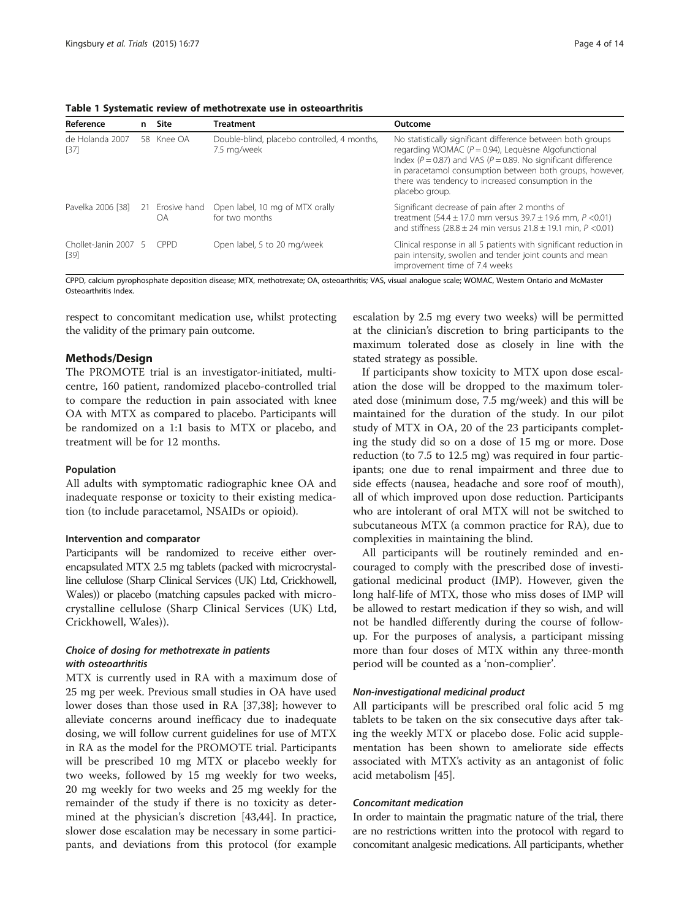<span id="page-3-0"></span>Table 1 Systematic review of methotrexate use in osteoarthritis

| Reference                    | n    | <b>Site</b>        | Treatment                                                  | Outcome                                                                                                                                                                                                                                                                                                                             |
|------------------------------|------|--------------------|------------------------------------------------------------|-------------------------------------------------------------------------------------------------------------------------------------------------------------------------------------------------------------------------------------------------------------------------------------------------------------------------------------|
| de Holanda 2007<br>$[37]$    |      | 58 Knee OA         | Double-blind, placebo controlled, 4 months,<br>7.5 mg/week | No statistically significant difference between both groups<br>regarding WOMAC ( $P = 0.94$ ), Lequèsne Algofunctional<br>Index ( $P = 0.87$ ) and VAS ( $P = 0.89$ . No significant difference<br>in paracetamol consumption between both groups, however,<br>there was tendency to increased consumption in the<br>placebo group. |
| Pavelka 2006 [38]            | - 21 | Erosive hand<br>OA | Open label, 10 mg of MTX orally<br>for two months          | Significant decrease of pain after 2 months of<br>treatment (54.4 ± 17.0 mm versus 39.7 ± 19.6 mm, $P < 0.01$ )<br>and stiffness (28.8 $\pm$ 24 min versus 21.8 $\pm$ 19.1 min, P <0.01)                                                                                                                                            |
| Chollet-Janin 2007 5<br>[39] |      | CPPD               | Open label, 5 to 20 mg/week                                | Clinical response in all 5 patients with significant reduction in<br>pain intensity, swollen and tender joint counts and mean<br>improvement time of 7.4 weeks                                                                                                                                                                      |

CPPD, calcium pyrophosphate deposition disease; MTX, methotrexate; OA, osteoarthritis; VAS, visual analogue scale; WOMAC, Western Ontario and McMaster Osteoarthritis Index.

respect to concomitant medication use, whilst protecting the validity of the primary pain outcome.

## Methods/Design

The PROMOTE trial is an investigator-initiated, multicentre, 160 patient, randomized placebo-controlled trial to compare the reduction in pain associated with knee OA with MTX as compared to placebo. Participants will be randomized on a 1:1 basis to MTX or placebo, and treatment will be for 12 months.

## Population

All adults with symptomatic radiographic knee OA and inadequate response or toxicity to their existing medication (to include paracetamol, NSAIDs or opioid).

## Intervention and comparator

Participants will be randomized to receive either overencapsulated MTX 2.5 mg tablets (packed with microcrystalline cellulose (Sharp Clinical Services (UK) Ltd, Crickhowell, Wales)) or placebo (matching capsules packed with microcrystalline cellulose (Sharp Clinical Services (UK) Ltd, Crickhowell, Wales)).

## Choice of dosing for methotrexate in patients with osteoarthritis

MTX is currently used in RA with a maximum dose of 25 mg per week. Previous small studies in OA have used lower doses than those used in RA [[37,38\]](#page-12-0); however to alleviate concerns around inefficacy due to inadequate dosing, we will follow current guidelines for use of MTX in RA as the model for the PROMOTE trial. Participants will be prescribed 10 mg MTX or placebo weekly for two weeks, followed by 15 mg weekly for two weeks, 20 mg weekly for two weeks and 25 mg weekly for the remainder of the study if there is no toxicity as determined at the physician's discretion [[43](#page-12-0),[44](#page-12-0)]. In practice, slower dose escalation may be necessary in some participants, and deviations from this protocol (for example

escalation by 2.5 mg every two weeks) will be permitted at the clinician's discretion to bring participants to the maximum tolerated dose as closely in line with the stated strategy as possible.

If participants show toxicity to MTX upon dose escalation the dose will be dropped to the maximum tolerated dose (minimum dose, 7.5 mg/week) and this will be maintained for the duration of the study. In our pilot study of MTX in OA, 20 of the 23 participants completing the study did so on a dose of 15 mg or more. Dose reduction (to 7.5 to 12.5 mg) was required in four participants; one due to renal impairment and three due to side effects (nausea, headache and sore roof of mouth), all of which improved upon dose reduction. Participants who are intolerant of oral MTX will not be switched to subcutaneous MTX (a common practice for RA), due to complexities in maintaining the blind.

All participants will be routinely reminded and encouraged to comply with the prescribed dose of investigational medicinal product (IMP). However, given the long half-life of MTX, those who miss doses of IMP will be allowed to restart medication if they so wish, and will not be handled differently during the course of followup. For the purposes of analysis, a participant missing more than four doses of MTX within any three-month period will be counted as a 'non-complier'.

## Non-investigational medicinal product

All participants will be prescribed oral folic acid 5 mg tablets to be taken on the six consecutive days after taking the weekly MTX or placebo dose. Folic acid supplementation has been shown to ameliorate side effects associated with MTX's activity as an antagonist of folic acid metabolism [[45\]](#page-12-0).

#### Concomitant medication

In order to maintain the pragmatic nature of the trial, there are no restrictions written into the protocol with regard to concomitant analgesic medications. All participants, whether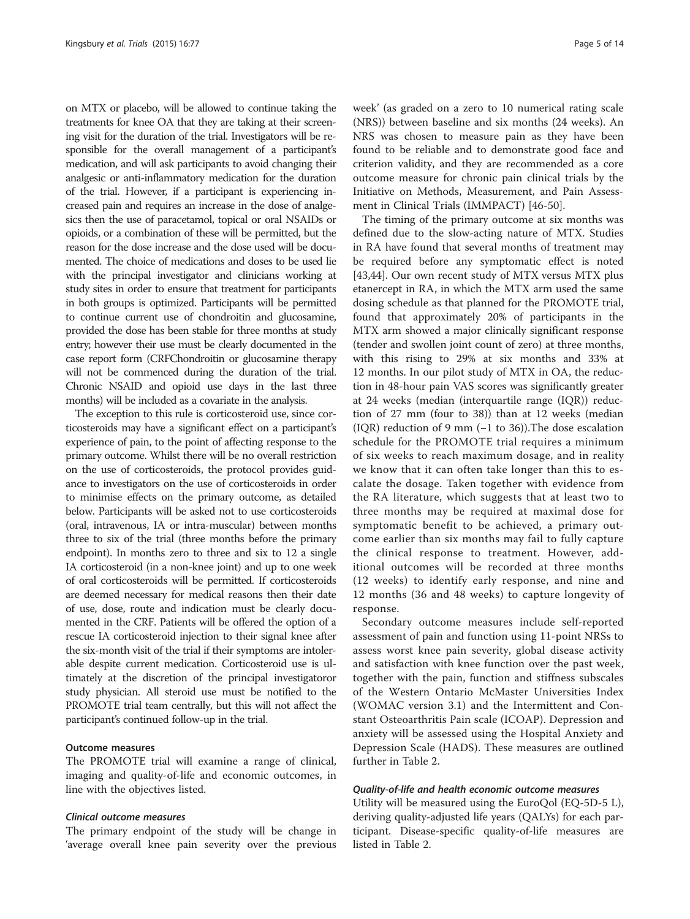on MTX or placebo, will be allowed to continue taking the treatments for knee OA that they are taking at their screening visit for the duration of the trial. Investigators will be responsible for the overall management of a participant's medication, and will ask participants to avoid changing their analgesic or anti-inflammatory medication for the duration of the trial. However, if a participant is experiencing increased pain and requires an increase in the dose of analgesics then the use of paracetamol, topical or oral NSAIDs or opioids, or a combination of these will be permitted, but the reason for the dose increase and the dose used will be documented. The choice of medications and doses to be used lie with the principal investigator and clinicians working at study sites in order to ensure that treatment for participants in both groups is optimized. Participants will be permitted to continue current use of chondroitin and glucosamine, provided the dose has been stable for three months at study entry; however their use must be clearly documented in the case report form (CRFChondroitin or glucosamine therapy will not be commenced during the duration of the trial. Chronic NSAID and opioid use days in the last three months) will be included as a covariate in the analysis.

The exception to this rule is corticosteroid use, since corticosteroids may have a significant effect on a participant's experience of pain, to the point of affecting response to the primary outcome. Whilst there will be no overall restriction on the use of corticosteroids, the protocol provides guidance to investigators on the use of corticosteroids in order to minimise effects on the primary outcome, as detailed below. Participants will be asked not to use corticosteroids (oral, intravenous, IA or intra-muscular) between months three to six of the trial (three months before the primary endpoint). In months zero to three and six to 12 a single IA corticosteroid (in a non-knee joint) and up to one week of oral corticosteroids will be permitted. If corticosteroids are deemed necessary for medical reasons then their date of use, dose, route and indication must be clearly documented in the CRF. Patients will be offered the option of a rescue IA corticosteroid injection to their signal knee after the six-month visit of the trial if their symptoms are intolerable despite current medication. Corticosteroid use is ultimately at the discretion of the principal investigatoror study physician. All steroid use must be notified to the PROMOTE trial team centrally, but this will not affect the participant's continued follow-up in the trial.

## Outcome measures

The PROMOTE trial will examine a range of clinical, imaging and quality-of-life and economic outcomes, in line with the objectives listed.

## Clinical outcome measures

The primary endpoint of the study will be change in 'average overall knee pain severity over the previous

week' (as graded on a zero to 10 numerical rating scale (NRS)) between baseline and six months (24 weeks). An NRS was chosen to measure pain as they have been found to be reliable and to demonstrate good face and criterion validity, and they are recommended as a core outcome measure for chronic pain clinical trials by the Initiative on Methods, Measurement, and Pain Assessment in Clinical Trials (IMMPACT) [\[46](#page-13-0)-[50\]](#page-13-0).

The timing of the primary outcome at six months was defined due to the slow-acting nature of MTX. Studies in RA have found that several months of treatment may be required before any symptomatic effect is noted [[43,44\]](#page-12-0). Our own recent study of MTX versus MTX plus etanercept in RA, in which the MTX arm used the same dosing schedule as that planned for the PROMOTE trial, found that approximately 20% of participants in the MTX arm showed a major clinically significant response (tender and swollen joint count of zero) at three months, with this rising to 29% at six months and 33% at 12 months. In our pilot study of MTX in OA, the reduction in 48-hour pain VAS scores was significantly greater at 24 weeks (median (interquartile range (IQR)) reduction of 27 mm (four to 38)) than at 12 weeks (median (IQR) reduction of 9 mm (−1 to 36)).The dose escalation schedule for the PROMOTE trial requires a minimum of six weeks to reach maximum dosage, and in reality we know that it can often take longer than this to escalate the dosage. Taken together with evidence from the RA literature, which suggests that at least two to three months may be required at maximal dose for symptomatic benefit to be achieved, a primary outcome earlier than six months may fail to fully capture the clinical response to treatment. However, additional outcomes will be recorded at three months (12 weeks) to identify early response, and nine and 12 months (36 and 48 weeks) to capture longevity of response.

Secondary outcome measures include self-reported assessment of pain and function using 11-point NRSs to assess worst knee pain severity, global disease activity and satisfaction with knee function over the past week, together with the pain, function and stiffness subscales of the Western Ontario McMaster Universities Index (WOMAC version 3.1) and the Intermittent and Constant Osteoarthritis Pain scale (ICOAP). Depression and anxiety will be assessed using the Hospital Anxiety and Depression Scale (HADS). These measures are outlined further in Table [2.](#page-5-0)

## Quality-of-life and health economic outcome measures

Utility will be measured using the EuroQol (EQ-5D-5 L), deriving quality-adjusted life years (QALYs) for each participant. Disease-specific quality-of-life measures are listed in Table [2](#page-5-0).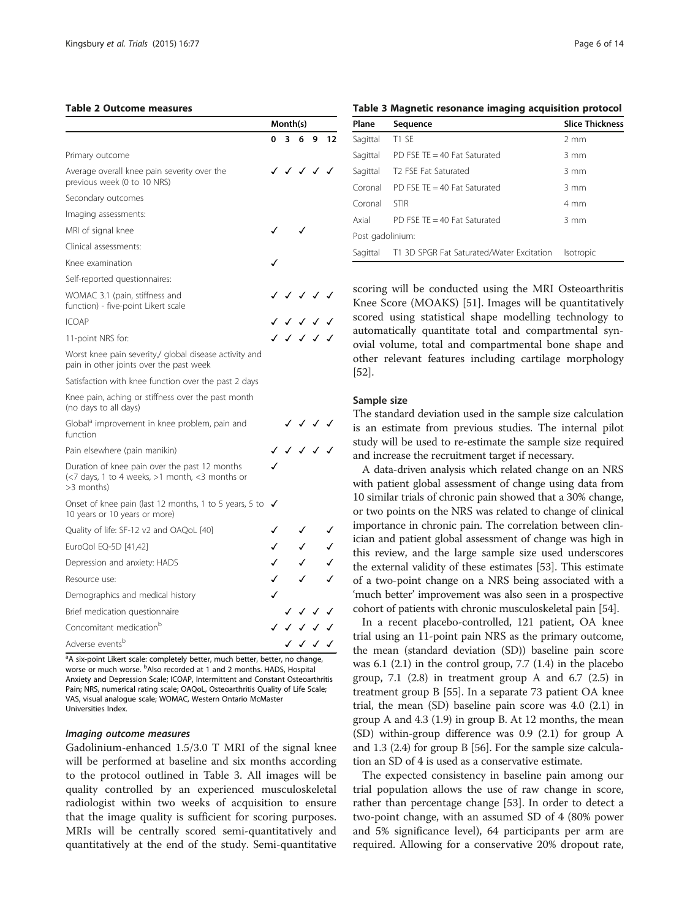#### <span id="page-5-0"></span>Table 2 Outcome measures

|                                                                                                               |   | MONUR) |              |   |    |
|---------------------------------------------------------------------------------------------------------------|---|--------|--------------|---|----|
|                                                                                                               | 0 | 3      | 6            | 9 | 12 |
| Primary outcome                                                                                               |   |        |              |   |    |
| Average overall knee pain severity over the<br>previous week (0 to 10 NRS)                                    |   |        | J J J J J    |   |    |
| Secondary outcomes                                                                                            |   |        |              |   |    |
| Imaging assessments:                                                                                          |   |        |              |   |    |
| MRI of signal knee                                                                                            |   |        |              |   |    |
| Clinical assessments:                                                                                         |   |        |              |   |    |
| Knee examination                                                                                              |   |        |              |   |    |
| Self-reported questionnaires:                                                                                 |   |        |              |   |    |
| WOMAC 3.1 (pain, stiffness and<br>function) - five-point Likert scale                                         |   |        | $\sqrt{11}$  |   |    |
| <b>ICOAP</b>                                                                                                  |   |        | .            |   |    |
| 11-point NRS for:                                                                                             |   |        | 1111         |   |    |
| Worst knee pain severity,/ global disease activity and<br>pain in other joints over the past week             |   |        |              |   |    |
| Satisfaction with knee function over the past 2 days                                                          |   |        |              |   |    |
| Knee pain, aching or stiffness over the past month<br>(no days to all days)                                   |   |        |              |   |    |
| Global <sup>a</sup> improvement in knee problem, pain and<br>function                                         |   |        | $\sqrt{2}$   |   |    |
| Pain elsewhere (pain manikin)                                                                                 |   |        | 1111.        |   |    |
| Duration of knee pain over the past 12 months<br>(<7 days, 1 to 4 weeks, >1 month, <3 months or<br>>3 months) |   |        |              |   |    |
| Onset of knee pain (last 12 months, 1 to 5 years, 5 to<br>10 years or 10 years or more)                       |   |        |              |   |    |
| Quality of life: SF-12 v2 and OAQoL [40]                                                                      | J |        |              |   |    |
| EuroQol EQ-5D [41,42]                                                                                         | ✓ |        |              |   |    |
| Depression and anxiety: HADS                                                                                  |   |        |              |   |    |
| Resource use:                                                                                                 | ✓ |        | J            |   |    |
| Demographics and medical history                                                                              | ℐ |        |              |   |    |
| Brief medication questionnaire                                                                                |   |        |              |   |    |
| Concomitant medication <sup>b</sup>                                                                           |   |        | $\checkmark$ |   |    |
| Adverse events <sup>b</sup>                                                                                   |   |        | $\checkmark$ |   |    |

 $M = m + L(n)$ 

<sup>a</sup>A six-point Likert scale: completely better, much better, better, no change, worse or much worse. <sup>b</sup>Also recorded at 1 and 2 months. HADS, Hospital Anxiety and Depression Scale; ICOAP, Intermittent and Constant Osteoarthritis Pain; NRS, numerical rating scale; OAQoL, Osteoarthritis Quality of Life Scale; VAS, visual analogue scale; WOMAC, Western Ontario McMaster Universities Index.

## Imaging outcome measures

Gadolinium-enhanced 1.5/3.0 T MRI of the signal knee will be performed at baseline and six months according to the protocol outlined in Table 3. All images will be quality controlled by an experienced musculoskeletal radiologist within two weeks of acquisition to ensure that the image quality is sufficient for scoring purposes. MRIs will be centrally scored semi-quantitatively and quantitatively at the end of the study. Semi-quantitative

Table 3 Magnetic resonance imaging acquisition protocol

| Plane            | Sequence                                                      | <b>Slice Thickness</b> |  |  |
|------------------|---------------------------------------------------------------|------------------------|--|--|
| Sagittal         | T1 SF                                                         | $2 \text{ mm}$         |  |  |
| Sagittal         | PD FSE TE = 40 Fat Saturated                                  | $3 \text{ mm}$         |  |  |
| Sagittal         | T2 FSF Fat Saturated                                          | $3 \text{ mm}$         |  |  |
| Coronal          | PD FSE TE = 40 Fat Saturated                                  | $3 \text{ mm}$         |  |  |
| Coronal          | <b>STIR</b>                                                   | 4 mm                   |  |  |
| Axial            | PD FSF TF $=$ 40 Fat Saturated                                | $3 \text{ mm}$         |  |  |
| Post gadolinium: |                                                               |                        |  |  |
| Sagittal         | T1 3D SPGR Fat Saturated/Water Excitation<br><b>Isotropic</b> |                        |  |  |

scoring will be conducted using the MRI Osteoarthritis Knee Score (MOAKS) [[51](#page-13-0)]. Images will be quantitatively scored using statistical shape modelling technology to automatically quantitate total and compartmental synovial volume, total and compartmental bone shape and other relevant features including cartilage morphology [[52\]](#page-13-0).

## Sample size

The standard deviation used in the sample size calculation is an estimate from previous studies. The internal pilot study will be used to re-estimate the sample size required and increase the recruitment target if necessary.

A data-driven analysis which related change on an NRS with patient global assessment of change using data from 10 similar trials of chronic pain showed that a 30% change, or two points on the NRS was related to change of clinical importance in chronic pain. The correlation between clinician and patient global assessment of change was high in this review, and the large sample size used underscores the external validity of these estimates [\[53\]](#page-13-0). This estimate of a two-point change on a NRS being associated with a 'much better' improvement was also seen in a prospective cohort of patients with chronic musculoskeletal pain [[54\]](#page-13-0).

In a recent placebo-controlled, 121 patient, OA knee trial using an 11-point pain NRS as the primary outcome, the mean (standard deviation (SD)) baseline pain score was 6.1 (2.1) in the control group, 7.7 (1.4) in the placebo group, 7.1 (2.8) in treatment group A and 6.7 (2.5) in treatment group B [[55](#page-13-0)]. In a separate 73 patient OA knee trial, the mean (SD) baseline pain score was 4.0 (2.1) in group A and 4.3 (1.9) in group B. At 12 months, the mean (SD) within-group difference was 0.9 (2.1) for group A and 1.3 (2.4) for group B [[56](#page-13-0)]. For the sample size calculation an SD of 4 is used as a conservative estimate.

The expected consistency in baseline pain among our trial population allows the use of raw change in score, rather than percentage change [[53\]](#page-13-0). In order to detect a two-point change, with an assumed SD of 4 (80% power and 5% significance level), 64 participants per arm are required. Allowing for a conservative 20% dropout rate,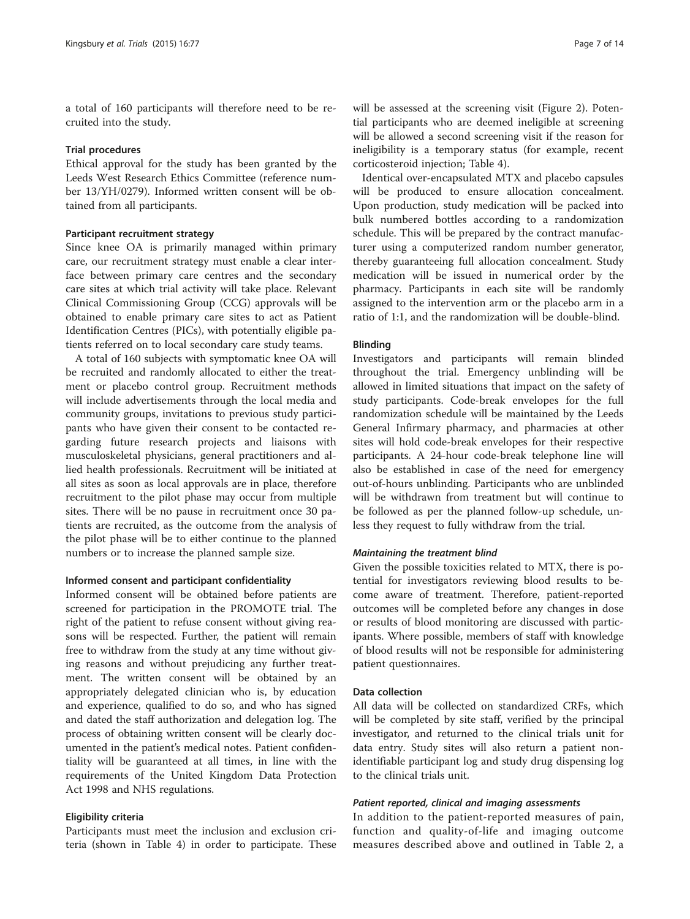a total of 160 participants will therefore need to be recruited into the study.

### Trial procedures

Ethical approval for the study has been granted by the Leeds West Research Ethics Committee (reference number 13/YH/0279). Informed written consent will be obtained from all participants.

## Participant recruitment strategy

Since knee OA is primarily managed within primary care, our recruitment strategy must enable a clear interface between primary care centres and the secondary care sites at which trial activity will take place. Relevant Clinical Commissioning Group (CCG) approvals will be obtained to enable primary care sites to act as Patient Identification Centres (PICs), with potentially eligible patients referred on to local secondary care study teams.

A total of 160 subjects with symptomatic knee OA will be recruited and randomly allocated to either the treatment or placebo control group. Recruitment methods will include advertisements through the local media and community groups, invitations to previous study participants who have given their consent to be contacted regarding future research projects and liaisons with musculoskeletal physicians, general practitioners and allied health professionals. Recruitment will be initiated at all sites as soon as local approvals are in place, therefore recruitment to the pilot phase may occur from multiple sites. There will be no pause in recruitment once 30 patients are recruited, as the outcome from the analysis of the pilot phase will be to either continue to the planned numbers or to increase the planned sample size.

## Informed consent and participant confidentiality

Informed consent will be obtained before patients are screened for participation in the PROMOTE trial. The right of the patient to refuse consent without giving reasons will be respected. Further, the patient will remain free to withdraw from the study at any time without giving reasons and without prejudicing any further treatment. The written consent will be obtained by an appropriately delegated clinician who is, by education and experience, qualified to do so, and who has signed and dated the staff authorization and delegation log. The process of obtaining written consent will be clearly documented in the patient's medical notes. Patient confidentiality will be guaranteed at all times, in line with the requirements of the United Kingdom Data Protection Act 1998 and NHS regulations.

## Eligibility criteria

Participants must meet the inclusion and exclusion criteria (shown in Table [4](#page-7-0)) in order to participate. These will be assessed at the screening visit (Figure [2](#page-8-0)). Potential participants who are deemed ineligible at screening will be allowed a second screening visit if the reason for ineligibility is a temporary status (for example, recent corticosteroid injection; Table [4\)](#page-7-0).

Identical over-encapsulated MTX and placebo capsules will be produced to ensure allocation concealment. Upon production, study medication will be packed into bulk numbered bottles according to a randomization schedule. This will be prepared by the contract manufacturer using a computerized random number generator, thereby guaranteeing full allocation concealment. Study medication will be issued in numerical order by the pharmacy. Participants in each site will be randomly assigned to the intervention arm or the placebo arm in a ratio of 1:1, and the randomization will be double-blind.

#### Blinding

Investigators and participants will remain blinded throughout the trial. Emergency unblinding will be allowed in limited situations that impact on the safety of study participants. Code-break envelopes for the full randomization schedule will be maintained by the Leeds General Infirmary pharmacy, and pharmacies at other sites will hold code-break envelopes for their respective participants. A 24-hour code-break telephone line will also be established in case of the need for emergency out-of-hours unblinding. Participants who are unblinded will be withdrawn from treatment but will continue to be followed as per the planned follow-up schedule, unless they request to fully withdraw from the trial.

#### Maintaining the treatment blind

Given the possible toxicities related to MTX, there is potential for investigators reviewing blood results to become aware of treatment. Therefore, patient-reported outcomes will be completed before any changes in dose or results of blood monitoring are discussed with participants. Where possible, members of staff with knowledge of blood results will not be responsible for administering patient questionnaires.

## Data collection

All data will be collected on standardized CRFs, which will be completed by site staff, verified by the principal investigator, and returned to the clinical trials unit for data entry. Study sites will also return a patient nonidentifiable participant log and study drug dispensing log to the clinical trials unit.

## Patient reported, clinical and imaging assessments

In addition to the patient-reported measures of pain, function and quality-of-life and imaging outcome measures described above and outlined in Table [2,](#page-5-0) a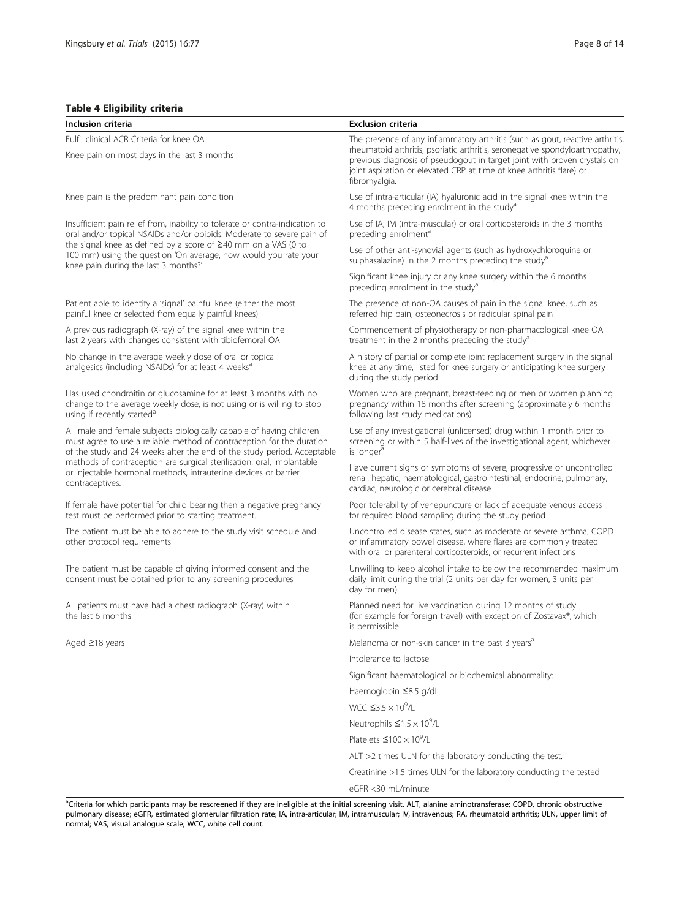## <span id="page-7-0"></span>Table 4 Eligibility criteria

| Inclusion criteria                                                                                                                                                                                                       | <b>Exclusion criteria</b>                                                                                                                                                                                                                         |  |  |  |
|--------------------------------------------------------------------------------------------------------------------------------------------------------------------------------------------------------------------------|---------------------------------------------------------------------------------------------------------------------------------------------------------------------------------------------------------------------------------------------------|--|--|--|
| Fulfil clinical ACR Criteria for knee OA                                                                                                                                                                                 | The presence of any inflammatory arthritis (such as gout, reactive arthritis,                                                                                                                                                                     |  |  |  |
| Knee pain on most days in the last 3 months                                                                                                                                                                              | rheumatoid arthritis, psoriatic arthritis, seronegative spondyloarthropathy,<br>previous diagnosis of pseudogout in target joint with proven crystals on<br>joint aspiration or elevated CRP at time of knee arthritis flare) or<br>fibromyalgia. |  |  |  |
| Knee pain is the predominant pain condition                                                                                                                                                                              | Use of intra-articular (IA) hyaluronic acid in the signal knee within the<br>4 months preceding enrolment in the study <sup>a</sup>                                                                                                               |  |  |  |
| Insufficient pain relief from, inability to tolerate or contra-indication to<br>oral and/or topical NSAIDs and/or opioids. Moderate to severe pain of                                                                    | Use of IA, IM (intra-muscular) or oral corticosteroids in the 3 months<br>preceding enrolment <sup>a</sup>                                                                                                                                        |  |  |  |
| the signal knee as defined by a score of ≥40 mm on a VAS (0 to<br>100 mm) using the question 'On average, how would you rate your<br>knee pain during the last 3 months?'.                                               | Use of other anti-synovial agents (such as hydroxychloroquine or<br>sulphasalazine) in the 2 months preceding the study <sup>a</sup>                                                                                                              |  |  |  |
|                                                                                                                                                                                                                          | Significant knee injury or any knee surgery within the 6 months<br>preceding enrolment in the study <sup>a</sup>                                                                                                                                  |  |  |  |
| Patient able to identify a 'signal' painful knee (either the most<br>painful knee or selected from equally painful knees)                                                                                                | The presence of non-OA causes of pain in the signal knee, such as<br>referred hip pain, osteonecrosis or radicular spinal pain                                                                                                                    |  |  |  |
| A previous radiograph (X-ray) of the signal knee within the<br>last 2 years with changes consistent with tibiofemoral OA                                                                                                 | Commencement of physiotherapy or non-pharmacological knee OA<br>treatment in the 2 months preceding the study <sup>a</sup>                                                                                                                        |  |  |  |
| No change in the average weekly dose of oral or topical<br>analgesics (including NSAIDs) for at least 4 weeks <sup>a</sup>                                                                                               | A history of partial or complete joint replacement surgery in the signal<br>knee at any time, listed for knee surgery or anticipating knee surgery<br>during the study period                                                                     |  |  |  |
| Has used chondroitin or glucosamine for at least 3 months with no<br>change to the average weekly dose, is not using or is willing to stop<br>using if recently started <sup>a</sup>                                     | Women who are pregnant, breast-feeding or men or women planning<br>pregnancy within 18 months after screening (approximately 6 months<br>following last study medications)                                                                        |  |  |  |
| All male and female subjects biologically capable of having children<br>must agree to use a reliable method of contraception for the duration<br>of the study and 24 weeks after the end of the study period. Acceptable | Use of any investigational (unlicensed) drug within 1 month prior to<br>screening or within 5 half-lives of the investigational agent, whichever<br>is longer <sup>a</sup>                                                                        |  |  |  |
| methods of contraception are surgical sterilisation, oral, implantable<br>or injectable hormonal methods, intrauterine devices or barrier<br>contraceptives.                                                             | Have current signs or symptoms of severe, progressive or uncontrolled<br>renal, hepatic, haematological, gastrointestinal, endocrine, pulmonary,<br>cardiac, neurologic or cerebral disease                                                       |  |  |  |
| If female have potential for child bearing then a negative pregnancy<br>test must be performed prior to starting treatment.                                                                                              | Poor tolerability of venepuncture or lack of adequate venous access<br>for required blood sampling during the study period                                                                                                                        |  |  |  |
| The patient must be able to adhere to the study visit schedule and<br>other protocol requirements                                                                                                                        | Uncontrolled disease states, such as moderate or severe asthma, COPD<br>or inflammatory bowel disease, where flares are commonly treated<br>with oral or parenteral corticosteroids, or recurrent infections                                      |  |  |  |
| The patient must be capable of giving informed consent and the<br>consent must be obtained prior to any screening procedures                                                                                             | Unwilling to keep alcohol intake to below the recommended maximum<br>daily limit during the trial (2 units per day for women, 3 units per<br>day for men)                                                                                         |  |  |  |
| All patients must have had a chest radiograph (X-ray) within<br>the last 6 months                                                                                                                                        | Planned need for live vaccination during 12 months of study<br>(for example for foreign travel) with exception of Zostavax®, which<br>is permissible                                                                                              |  |  |  |
| Aged ≥18 years                                                                                                                                                                                                           | Melanoma or non-skin cancer in the past 3 years <sup>a</sup>                                                                                                                                                                                      |  |  |  |
|                                                                                                                                                                                                                          | Intolerance to lactose                                                                                                                                                                                                                            |  |  |  |
|                                                                                                                                                                                                                          | Significant haematological or biochemical abnormality:                                                                                                                                                                                            |  |  |  |
|                                                                                                                                                                                                                          | Haemoglobin ≤8.5 g/dL                                                                                                                                                                                                                             |  |  |  |
|                                                                                                                                                                                                                          | WCC $\leq$ 3.5 $\times$ 10 <sup>9</sup> /L                                                                                                                                                                                                        |  |  |  |
|                                                                                                                                                                                                                          | Neutrophils $\leq 1.5 \times 10^9$ /L                                                                                                                                                                                                             |  |  |  |
|                                                                                                                                                                                                                          | Platelets $\leq 100 \times 10^9$ /L                                                                                                                                                                                                               |  |  |  |
|                                                                                                                                                                                                                          | ALT >2 times ULN for the laboratory conducting the test.                                                                                                                                                                                          |  |  |  |
|                                                                                                                                                                                                                          | Creatinine >1.5 times ULN for the laboratory conducting the tested                                                                                                                                                                                |  |  |  |
|                                                                                                                                                                                                                          | eGFR <30 mL/minute                                                                                                                                                                                                                                |  |  |  |

<sup>a</sup>Criteria for which participants may be rescreened if they are ineligible at the initial screening visit. ALT, alanine aminotransferase; COPD, chronic obstructive pulmonary disease; eGFR, estimated glomerular filtration rate; IA, intra-articular; IM, intramuscular; IV, intravenous; RA, rheumatoid arthritis; ULN, upper limit of normal; VAS, visual analogue scale; WCC, white cell count.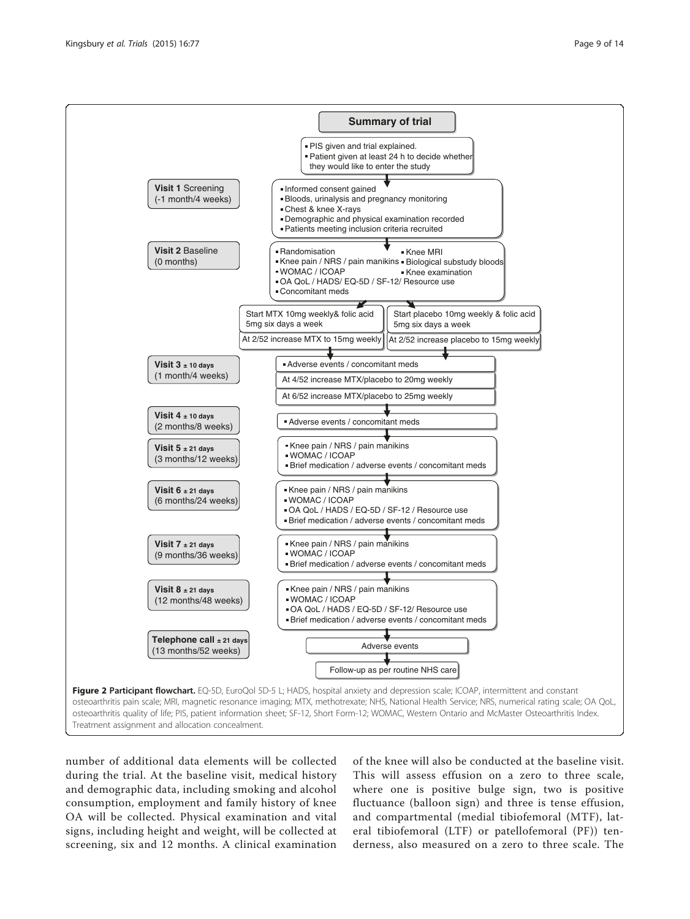<span id="page-8-0"></span>

number of additional data elements will be collected during the trial. At the baseline visit, medical history and demographic data, including smoking and alcohol consumption, employment and family history of knee OA will be collected. Physical examination and vital signs, including height and weight, will be collected at screening, six and 12 months. A clinical examination

of the knee will also be conducted at the baseline visit. This will assess effusion on a zero to three scale, where one is positive bulge sign, two is positive fluctuance (balloon sign) and three is tense effusion, and compartmental (medial tibiofemoral (MTF), lateral tibiofemoral (LTF) or patellofemoral (PF)) tenderness, also measured on a zero to three scale. The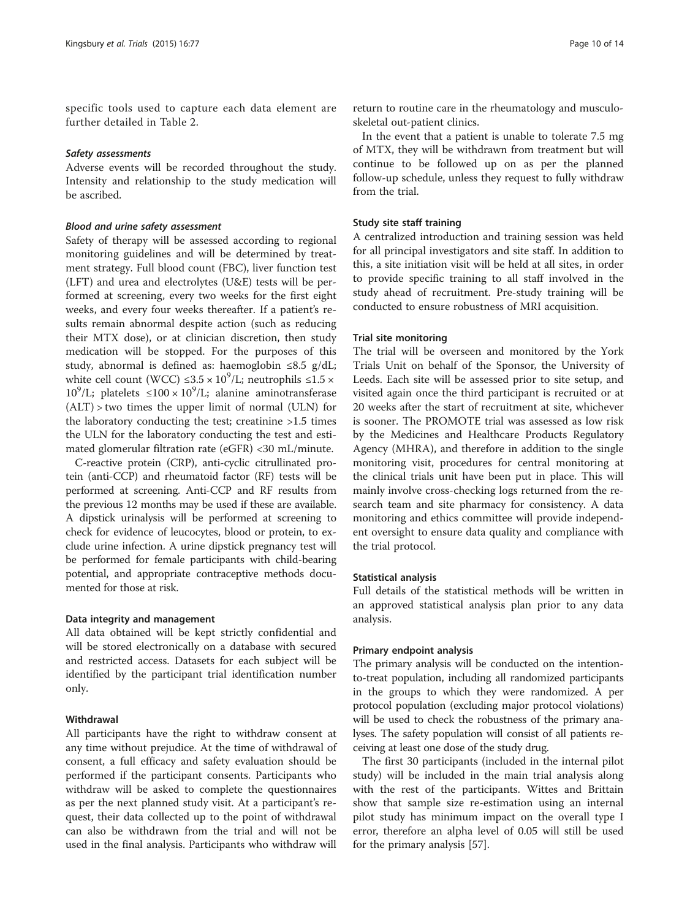specific tools used to capture each data element are further detailed in Table [2](#page-5-0).

## Safety assessments

Adverse events will be recorded throughout the study. Intensity and relationship to the study medication will be ascribed.

## Blood and urine safety assessment

Safety of therapy will be assessed according to regional monitoring guidelines and will be determined by treatment strategy. Full blood count (FBC), liver function test (LFT) and urea and electrolytes (U&E) tests will be performed at screening, every two weeks for the first eight weeks, and every four weeks thereafter. If a patient's results remain abnormal despite action (such as reducing their MTX dose), or at clinician discretion, then study medication will be stopped. For the purposes of this study, abnormal is defined as: haemoglobin ≤8.5 g/dL; white cell count (WCC)  $\leq 3.5 \times 10^9$ /L; neutrophils  $\leq 1.5 \times 10^9$ 10<sup>9</sup>/L; platelets  $\leq 100 \times 10^9$ /L; alanine aminotransferase  $(ALT)$  > two times the upper limit of normal  $(ULN)$  for the laboratory conducting the test; creatinine >1.5 times the ULN for the laboratory conducting the test and estimated glomerular filtration rate (eGFR) <30 mL/minute.

C-reactive protein (CRP), anti-cyclic citrullinated protein (anti-CCP) and rheumatoid factor (RF) tests will be performed at screening. Anti-CCP and RF results from the previous 12 months may be used if these are available. A dipstick urinalysis will be performed at screening to check for evidence of leucocytes, blood or protein, to exclude urine infection. A urine dipstick pregnancy test will be performed for female participants with child-bearing potential, and appropriate contraceptive methods documented for those at risk.

#### Data integrity and management

All data obtained will be kept strictly confidential and will be stored electronically on a database with secured and restricted access. Datasets for each subject will be identified by the participant trial identification number only.

#### Withdrawal

All participants have the right to withdraw consent at any time without prejudice. At the time of withdrawal of consent, a full efficacy and safety evaluation should be performed if the participant consents. Participants who withdraw will be asked to complete the questionnaires as per the next planned study visit. At a participant's request, their data collected up to the point of withdrawal can also be withdrawn from the trial and will not be used in the final analysis. Participants who withdraw will

In the event that a patient is unable to tolerate 7.5 mg of MTX, they will be withdrawn from treatment but will continue to be followed up on as per the planned follow-up schedule, unless they request to fully withdraw from the trial.

## Study site staff training

A centralized introduction and training session was held for all principal investigators and site staff. In addition to this, a site initiation visit will be held at all sites, in order to provide specific training to all staff involved in the study ahead of recruitment. Pre-study training will be conducted to ensure robustness of MRI acquisition.

## Trial site monitoring

The trial will be overseen and monitored by the York Trials Unit on behalf of the Sponsor, the University of Leeds. Each site will be assessed prior to site setup, and visited again once the third participant is recruited or at 20 weeks after the start of recruitment at site, whichever is sooner. The PROMOTE trial was assessed as low risk by the Medicines and Healthcare Products Regulatory Agency (MHRA), and therefore in addition to the single monitoring visit, procedures for central monitoring at the clinical trials unit have been put in place. This will mainly involve cross-checking logs returned from the research team and site pharmacy for consistency. A data monitoring and ethics committee will provide independent oversight to ensure data quality and compliance with the trial protocol.

## Statistical analysis

Full details of the statistical methods will be written in an approved statistical analysis plan prior to any data analysis.

#### Primary endpoint analysis

The primary analysis will be conducted on the intentionto-treat population, including all randomized participants in the groups to which they were randomized. A per protocol population (excluding major protocol violations) will be used to check the robustness of the primary analyses. The safety population will consist of all patients receiving at least one dose of the study drug.

The first 30 participants (included in the internal pilot study) will be included in the main trial analysis along with the rest of the participants. Wittes and Brittain show that sample size re-estimation using an internal pilot study has minimum impact on the overall type I error, therefore an alpha level of 0.05 will still be used for the primary analysis [[57](#page-13-0)].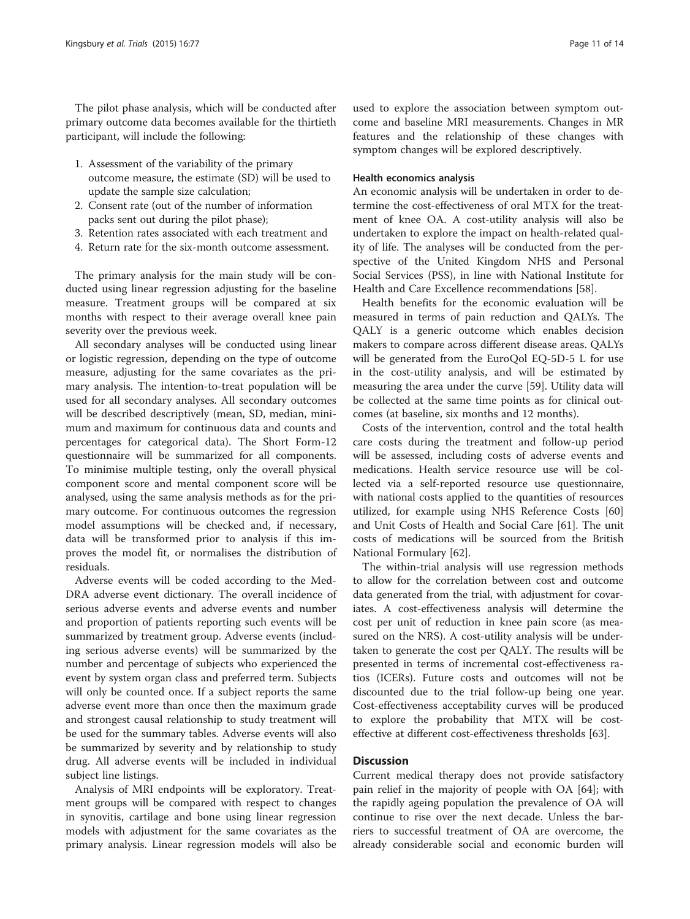The pilot phase analysis, which will be conducted after primary outcome data becomes available for the thirtieth participant, will include the following:

- 1. Assessment of the variability of the primary outcome measure, the estimate (SD) will be used to update the sample size calculation;
- 2. Consent rate (out of the number of information packs sent out during the pilot phase);
- 3. Retention rates associated with each treatment and
- 4. Return rate for the six-month outcome assessment.

The primary analysis for the main study will be conducted using linear regression adjusting for the baseline measure. Treatment groups will be compared at six months with respect to their average overall knee pain severity over the previous week.

All secondary analyses will be conducted using linear or logistic regression, depending on the type of outcome measure, adjusting for the same covariates as the primary analysis. The intention-to-treat population will be used for all secondary analyses. All secondary outcomes will be described descriptively (mean, SD, median, minimum and maximum for continuous data and counts and percentages for categorical data). The Short Form-12 questionnaire will be summarized for all components. To minimise multiple testing, only the overall physical component score and mental component score will be analysed, using the same analysis methods as for the primary outcome. For continuous outcomes the regression model assumptions will be checked and, if necessary, data will be transformed prior to analysis if this improves the model fit, or normalises the distribution of residuals.

Adverse events will be coded according to the Med-DRA adverse event dictionary. The overall incidence of serious adverse events and adverse events and number and proportion of patients reporting such events will be summarized by treatment group. Adverse events (including serious adverse events) will be summarized by the number and percentage of subjects who experienced the event by system organ class and preferred term. Subjects will only be counted once. If a subject reports the same adverse event more than once then the maximum grade and strongest causal relationship to study treatment will be used for the summary tables. Adverse events will also be summarized by severity and by relationship to study drug. All adverse events will be included in individual subject line listings.

Analysis of MRI endpoints will be exploratory. Treatment groups will be compared with respect to changes in synovitis, cartilage and bone using linear regression models with adjustment for the same covariates as the primary analysis. Linear regression models will also be used to explore the association between symptom outcome and baseline MRI measurements. Changes in MR features and the relationship of these changes with symptom changes will be explored descriptively.

## Health economics analysis

An economic analysis will be undertaken in order to determine the cost-effectiveness of oral MTX for the treatment of knee OA. A cost-utility analysis will also be undertaken to explore the impact on health-related quality of life. The analyses will be conducted from the perspective of the United Kingdom NHS and Personal Social Services (PSS), in line with National Institute for Health and Care Excellence recommendations [\[58](#page-13-0)].

Health benefits for the economic evaluation will be measured in terms of pain reduction and QALYs. The QALY is a generic outcome which enables decision makers to compare across different disease areas. QALYs will be generated from the EuroQol EQ-5D-5 L for use in the cost-utility analysis, and will be estimated by measuring the area under the curve [\[59](#page-13-0)]. Utility data will be collected at the same time points as for clinical outcomes (at baseline, six months and 12 months).

Costs of the intervention, control and the total health care costs during the treatment and follow-up period will be assessed, including costs of adverse events and medications. Health service resource use will be collected via a self-reported resource use questionnaire, with national costs applied to the quantities of resources utilized, for example using NHS Reference Costs [[60](#page-13-0)] and Unit Costs of Health and Social Care [\[61\]](#page-13-0). The unit costs of medications will be sourced from the British National Formulary [\[62](#page-13-0)].

The within-trial analysis will use regression methods to allow for the correlation between cost and outcome data generated from the trial, with adjustment for covariates. A cost-effectiveness analysis will determine the cost per unit of reduction in knee pain score (as measured on the NRS). A cost-utility analysis will be undertaken to generate the cost per QALY. The results will be presented in terms of incremental cost-effectiveness ratios (ICERs). Future costs and outcomes will not be discounted due to the trial follow-up being one year. Cost-effectiveness acceptability curves will be produced to explore the probability that MTX will be costeffective at different cost-effectiveness thresholds [[63](#page-13-0)].

## **Discussion**

Current medical therapy does not provide satisfactory pain relief in the majority of people with OA [[64\]](#page-13-0); with the rapidly ageing population the prevalence of OA will continue to rise over the next decade. Unless the barriers to successful treatment of OA are overcome, the already considerable social and economic burden will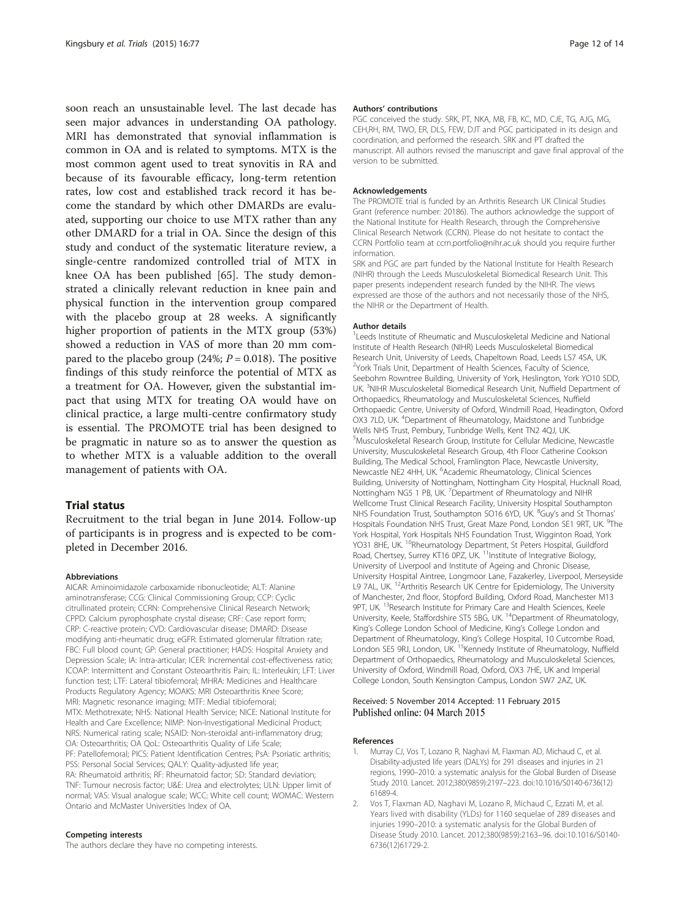<span id="page-11-0"></span>soon reach an unsustainable level. The last decade has seen major advances in understanding OA pathology. MRI has demonstrated that synovial inflammation is common in OA and is related to symptoms. MTX is the most common agent used to treat synovitis in RA and because of its favourable efficacy, long-term retention rates, low cost and established track record it has become the standard by which other DMARDs are evaluated, supporting our choice to use MTX rather than any other DMARD for a trial in OA. Since the design of this study and conduct of the systematic literature review, a single-centre randomized controlled trial of MTX in knee OA has been published [[65](#page-13-0)]. The study demonstrated a clinically relevant reduction in knee pain and physical function in the intervention group compared with the placebo group at 28 weeks. A significantly higher proportion of patients in the MTX group (53%) showed a reduction in VAS of more than 20 mm compared to the placebo group (24%;  $P = 0.018$ ). The positive findings of this study reinforce the potential of MTX as a treatment for OA. However, given the substantial impact that using MTX for treating OA would have on clinical practice, a large multi-centre confirmatory study is essential. The PROMOTE trial has been designed to be pragmatic in nature so as to answer the question as to whether MTX is a valuable addition to the overall management of patients with OA.

## Trial status

Recruitment to the trial began in June 2014. Follow-up of participants is in progress and is expected to be completed in December 2016.

#### Abbreviations

AICAR: Aminoimidazole carboxamide ribonucleotide; ALT: Alanine aminotransferase; CCG: Clinical Commissioning Group; CCP: Cyclic citrullinated protein; CCRN: Comprehensive Clinical Research Network; CPPD: Calcium pyrophosphate crystal disease; CRF: Case report form; CRP: C-reactive protein; CVD: Cardiovascular disease; DMARD: Disease modifying anti-rheumatic drug; eGFR: Estimated glomerular filtration rate; FBC: Full blood count; GP: General practitioner; HADS: Hospital Anxiety and Depression Scale; IA: Intra-articular; ICER: Incremental cost-effectiveness ratio; ICOAP: Intermittent and Constant Osteoarthritis Pain; IL: Interleukin; LFT: Liver function test; LTF: Lateral tibiofemoral; MHRA: Medicines and Healthcare Products Regulatory Agency; MOAKS: MRI Osteoarthritis Knee Score; MRI: Magnetic resonance imaging; MTF: Medial tibiofemoral; MTX: Methotrexate; NHS: National Health Service; NICE: National Institute for Health and Care Excellence; NIMP: Non-Investigational Medicinal Product; NRS: Numerical rating scale; NSAID: Non-steroidal anti-inflammatory drug; OA: Osteoarthritis; OA QoL: Osteoarthritis Quality of Life Scale; PF: Patellofemoral; PICS: Patient Identification Centres; PsA: Psoriatic arthritis; PSS: Personal Social Services; QALY: Quality-adjusted life year; RA: Rheumatoid arthritis; RF: Rheumatoid factor; SD: Standard deviation; TNF: Tumour necrosis factor; U&E: Urea and electrolytes; ULN: Upper limit of normal; VAS: Visual analogue scale; WCC: White cell count; WOMAC: Western Ontario and McMaster Universities Index of OA.

#### Competing interests

The authors declare they have no competing interests.

#### Authors' contributions

PGC conceived the study. SRK, PT, NKA, MB, FB, KC, MD, CJE, TG, AJG, MG, CEH,RH, RM, TWO, ER, DLS, FEW, DJT and PGC participated in its design and coordination, and performed the research. SRK and PT drafted the manuscript. All authors revised the manuscript and gave final approval of the version to be submitted.

#### Acknowledgements

The PROMOTE trial is funded by an Arthritis Research UK Clinical Studies Grant (reference number: 20186). The authors acknowledge the support of the National Institute for Health Research, through the Comprehensive Clinical Research Network (CCRN). Please do not hesitate to contact the CCRN Portfolio team at ccrn.portfolio@nihr.ac.uk should you require further information.

SRK and PGC are part funded by the National Institute for Health Research (NIHR) through the Leeds Musculoskeletal Biomedical Research Unit. This paper presents independent research funded by the NIHR. The views expressed are those of the authors and not necessarily those of the NHS, the NIHR or the Department of Health.

#### Author details

<sup>1</sup> Leeds Institute of Rheumatic and Musculoskeletal Medicine and National Institute of Health Research (NIHR) Leeds Musculoskeletal Biomedical Research Unit, University of Leeds, Chapeltown Road, Leeds LS7 4SA, UK. <sup>2</sup>York Trials Unit, Department of Health Sciences, Faculty of Science, Seebohm Rowntree Building, University of York, Heslington, York YO10 5DD, UK. <sup>3</sup>NIHR Musculoskeletal Biomedical Research Unit, Nuffield Department of Orthopaedics, Rheumatology and Musculoskeletal Sciences, Nuffield Orthopaedic Centre, University of Oxford, Windmill Road, Headington, Oxford OX3 7LD, UK. <sup>4</sup>Department of Rheumatology, Maidstone and Tunbridge Wells NHS Trust, Pembury, Tunbridge Wells, Kent TN2 4QJ, UK. 5 Musculoskeletal Research Group, Institute for Cellular Medicine, Newcastle University, Musculoskeletal Research Group, 4th Floor Catherine Cookson Building, The Medical School, Framlington Place, Newcastle University, Newcastle NE2 4HH, UK. <sup>6</sup>Academic Rheumatology, Clinical Sciences Building, University of Nottingham, Nottingham City Hospital, Hucknall Road, Nottingham NG5 1 PB, UK. <sup>7</sup> Department of Rheumatology and NIHR Wellcome Trust Clinical Research Facility, University Hospital Southampton NHS Foundation Trust, Southampton SO16 6YD, UK. <sup>8</sup>Guy's and St Thomas Hospitals Foundation NHS Trust, Great Maze Pond, London SE1 9RT, UK. <sup>9</sup>The York Hospital, York Hospitals NHS Foundation Trust, Wigginton Road, York YO31 8HE, UK. <sup>10</sup>Rheumatology Department, St Peters Hospital, Guildford Road, Chertsey, Surrey KT16 0PZ, UK.<sup>11</sup>Institute of Integrative Biology, University of Liverpool and Institute of Ageing and Chronic Disease, University Hospital Aintree, Longmoor Lane, Fazakerley, Liverpool, Merseyside L9 7AL, UK. <sup>12</sup>Arthritis Research UK Centre for Epidemiology, The University of Manchester, 2nd floor, Stopford Building, Oxford Road, Manchester M13 9PT, UK. <sup>13</sup>Research Institute for Primary Care and Health Sciences, Keele University, Keele, Staffordshire ST5 5BG, UK. <sup>14</sup>Department of Rheumatology, King's College London School of Medicine, King's College London and Department of Rheumatology, King's College Hospital, 10 Cutcombe Road, London SE5 9RJ, London, UK. <sup>15</sup> Kennedy Institute of Rheumatology, Nuffield Department of Orthopaedics, Rheumatology and Musculoskeletal Sciences, University of Oxford, Windmill Road, Oxford, OX3 7HE, UK and Imperial College London, South Kensington Campus, London SW7 2AZ, UK.

#### Received: 5 November 2014 Accepted: 11 February 2015 Published online: 04 March 2015

#### References

- 1. Murray CJ, Vos T, Lozano R, Naghavi M, Flaxman AD, Michaud C, et al. Disability-adjusted life years (DALYs) for 291 diseases and injuries in 21 regions, 1990–2010: a systematic analysis for the Global Burden of Disease Study 2010. Lancet. 2012;380(9859):2197–223. doi:10.1016/S0140-6736(12) 61689-4.
- 2. Vos T, Flaxman AD, Naghavi M, Lozano R, Michaud C, Ezzati M, et al. Years lived with disability (YLDs) for 1160 sequelae of 289 diseases and injuries 1990–2010: a systematic analysis for the Global Burden of Disease Study 2010. Lancet. 2012;380(9859):2163–96. doi:10.1016/S0140- 6736(12)61729-2.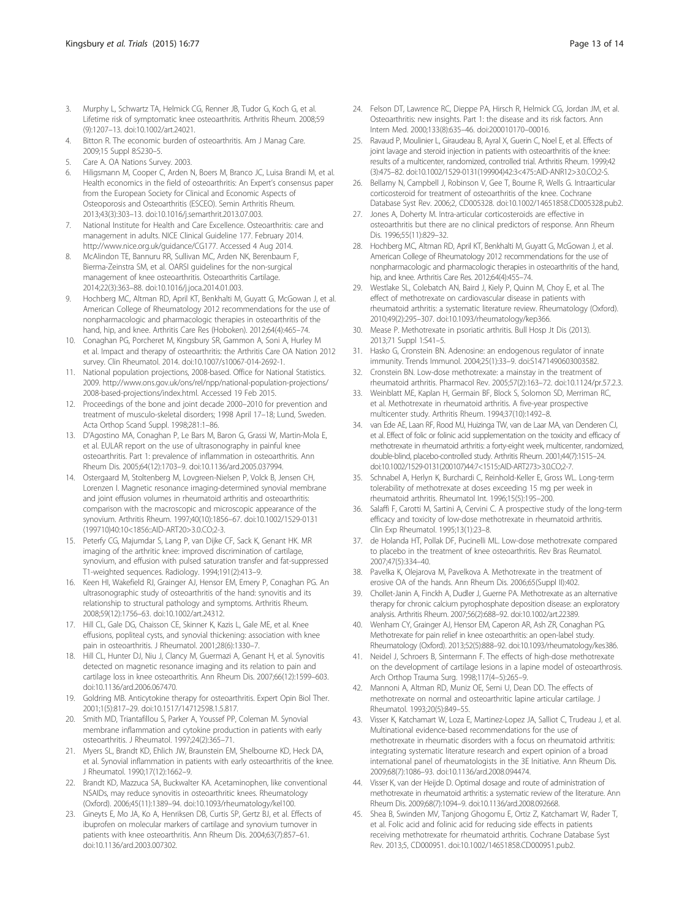- <span id="page-12-0"></span>3. Murphy L, Schwartz TA, Helmick CG, Renner JB, Tudor G, Koch G, et al. Lifetime risk of symptomatic knee osteoarthritis. Arthritis Rheum. 2008;59 (9):1207–13. doi:10.1002/art.24021.
- 4. Bitton R. The economic burden of osteoarthritis. Am J Manag Care. 2009;15 Suppl 8:S230–5.
- 5. Care A. OA Nations Survey. 2003.
- 6. Hiligsmann M, Cooper C, Arden N, Boers M, Branco JC, Luisa Brandi M, et al. Health economics in the field of osteoarthritis: An Expert's consensus paper from the European Society for Clinical and Economic Aspects of Osteoporosis and Osteoarthritis (ESCEO). Semin Arthritis Rheum. 2013;43(3):303–13. doi:10.1016/j.semarthrit.2013.07.003.
- 7. National Institute for Health and Care Excellence. Osteoarthritis: care and management in adults. NICE Clinical Guideline 177. February 2014. [http://www.nice.org.uk/guidance/CG177.](http://www.nice.org.uk/guidance/CG177) Accessed 4 Aug 2014.
- 8. McAlindon TE, Bannuru RR, Sullivan MC, Arden NK, Berenbaum F, Bierma-Zeinstra SM, et al. OARSI guidelines for the non-surgical management of knee osteoarthritis. Osteoarthritis Cartilage. 2014;22(3):363–88. doi:10.1016/j.joca.2014.01.003.
- 9. Hochberg MC, Altman RD, April KT, Benkhalti M, Guyatt G, McGowan J, et al. American College of Rheumatology 2012 recommendations for the use of nonpharmacologic and pharmacologic therapies in osteoarthritis of the hand, hip, and knee. Arthritis Care Res (Hoboken). 2012;64(4):465–74.
- 10. Conaghan PG, Porcheret M, Kingsbury SR, Gammon A, Soni A, Hurley M et al. Impact and therapy of osteoarthritis: the Arthritis Care OA Nation 2012 survey. Clin Rheumatol. 2014. doi:10.1007/s10067-014-2692-1.
- 11. National population projections, 2008-based. Office for National Statistics. 2009. [http://www.ons.gov.uk/ons/rel/npp/national-population-projections/](http://www.ons.gov.uk/ons/rel/npp/national-population-projections/2008-based-projections/index.html) [2008-based-projections/index.html](http://www.ons.gov.uk/ons/rel/npp/national-population-projections/2008-based-projections/index.html). Accessed 19 Feb 2015.
- 12. Proceedings of the bone and joint decade 2000–2010 for prevention and treatment of musculo-skeletal disorders; 1998 April 17–18; Lund, Sweden. Acta Orthop Scand Suppl. 1998;281:1–86.
- 13. D'Agostino MA, Conaghan P, Le Bars M, Baron G, Grassi W, Martin-Mola E, et al. EULAR report on the use of ultrasonography in painful knee osteoarthritis. Part 1: prevalence of inflammation in osteoarthritis. Ann Rheum Dis. 2005;64(12):1703–9. doi:10.1136/ard.2005.037994.
- 14. Ostergaard M, Stoltenberg M, Lovgreen-Nielsen P, Volck B, Jensen CH, Lorenzen I. Magnetic resonance imaging-determined synovial membrane and joint effusion volumes in rheumatoid arthritis and osteoarthritis: comparison with the macroscopic and microscopic appearance of the synovium. Arthritis Rheum. 1997;40(10):1856–67. doi:10.1002/1529-0131 (199710)40:10<1856::AID-ART20>3.0.CO;2-3.
- 15. Peterfy CG, Majumdar S, Lang P, van Dijke CF, Sack K, Genant HK. MR imaging of the arthritic knee: improved discrimination of cartilage, synovium, and effusion with pulsed saturation transfer and fat-suppressed T1-weighted sequences. Radiology. 1994;191(2):413–9.
- 16. Keen HI, Wakefield RJ, Grainger AJ, Hensor EM, Emery P, Conaghan PG. An ultrasonographic study of osteoarthritis of the hand: synovitis and its relationship to structural pathology and symptoms. Arthritis Rheum. 2008;59(12):1756–63. doi:10.1002/art.24312.
- 17. Hill CL, Gale DG, Chaisson CE, Skinner K, Kazis L, Gale ME, et al. Knee effusions, popliteal cysts, and synovial thickening: association with knee pain in osteoarthritis. J Rheumatol. 2001;28(6):1330–7.
- 18. Hill CL, Hunter DJ, Niu J, Clancy M, Guermazi A, Genant H, et al. Synovitis detected on magnetic resonance imaging and its relation to pain and cartilage loss in knee osteoarthritis. Ann Rheum Dis. 2007;66(12):1599–603. doi:10.1136/ard.2006.067470.
- 19. Goldring MB. Anticytokine therapy for osteoarthritis. Expert Opin Biol Ther. 2001;1(5):817–29. doi:10.1517/14712598.1.5.817.
- 20. Smith MD, Triantafillou S, Parker A, Youssef PP, Coleman M. Synovial membrane inflammation and cytokine production in patients with early osteoarthritis. J Rheumatol. 1997;24(2):365–71.
- 21. Myers SL, Brandt KD, Ehlich JW, Braunstein EM, Shelbourne KD, Heck DA, et al. Synovial inflammation in patients with early osteoarthritis of the knee. J Rheumatol. 1990;17(12):1662–9.
- 22. Brandt KD, Mazzuca SA, Buckwalter KA. Acetaminophen, like conventional NSAIDs, may reduce synovitis in osteoarthritic knees. Rheumatology (Oxford). 2006;45(11):1389–94. doi:10.1093/rheumatology/kel100.
- 23. Gineyts E, Mo JA, Ko A, Henriksen DB, Curtis SP, Gertz BJ, et al. Effects of ibuprofen on molecular markers of cartilage and synovium turnover in patients with knee osteoarthritis. Ann Rheum Dis. 2004;63(7):857–61. doi:10.1136/ard.2003.007302.
- 24. Felson DT, Lawrence RC, Dieppe PA, Hirsch R, Helmick CG, Jordan JM, et al. Osteoarthritis: new insights. Part 1: the disease and its risk factors. Ann Intern Med. 2000;133(8):635–46. doi:200010170–00016.
- 25. Ravaud P, Moulinier L, Giraudeau B, Ayral X, Guerin C, Noel E, et al. Effects of joint lavage and steroid injection in patients with osteoarthritis of the knee: results of a multicenter, randomized, controlled trial. Arthritis Rheum. 1999;42 (3):475–82. doi:10.1002/1529-0131(199904)42:3<475::AID-ANR12>3.0.CO;2-S.
- 26. Bellamy N, Campbell J, Robinson V, Gee T, Bourne R, Wells G. Intraarticular corticosteroid for treatment of osteoarthritis of the knee. Cochrane Database Syst Rev. 2006;2, CD005328. doi:10.1002/14651858.CD005328.pub2.
- 27. Jones A, Doherty M. Intra-articular corticosteroids are effective in osteoarthritis but there are no clinical predictors of response. Ann Rheum Dis. 1996;55(11):829–32.
- 28. Hochberg MC, Altman RD, April KT, Benkhalti M, Guyatt G, McGowan J, et al. American College of Rheumatology 2012 recommendations for the use of nonpharmacologic and pharmacologic therapies in osteoarthritis of the hand, hip, and knee. Arthritis Care Res. 2012;64(4):455–74.
- 29. Westlake SL, Colebatch AN, Baird J, Kiely P, Quinn M, Choy E, et al. The effect of methotrexate on cardiovascular disease in patients with rheumatoid arthritis: a systematic literature review. Rheumatology (Oxford). 2010;49(2):295–307. doi:10.1093/rheumatology/kep366.
- 30. Mease P. Methotrexate in psoriatic arthritis. Bull Hosp Jt Dis (2013). 2013;71 Suppl 1:S41–5.
- 31. Hasko G, Cronstein BN. Adenosine: an endogenous regulator of innate immunity. Trends Immunol. 2004;25(1):33–9. doi:S1471490603003582.
- 32. Cronstein BN. Low-dose methotrexate: a mainstay in the treatment of rheumatoid arthritis. Pharmacol Rev. 2005;57(2):163–72. doi:10.1124/pr.57.2.3.
- 33. Weinblatt ME, Kaplan H, Germain BF, Block S, Solomon SD, Merriman RC, et al. Methotrexate in rheumatoid arthritis. A five-year prospective multicenter study. Arthritis Rheum. 1994;37(10):1492–8.
- 34. van Ede AE, Laan RF, Rood MJ, Huizinga TW, van de Laar MA, van Denderen CJ, et al. Effect of folic or folinic acid supplementation on the toxicity and efficacy of methotrexate in rheumatoid arthritis: a forty-eight week, multicenter, randomized, double-blind, placebo-controlled study. Arthritis Rheum. 2001;44(7):1515–24. doi:10.1002/1529-0131(200107)44:7<1515::AID-ART273>3.0.CO;2-7.
- 35. Schnabel A, Herlyn K, Burchardi C, Reinhold-Keller E, Gross WL. Long-term tolerability of methotrexate at doses exceeding 15 mg per week in rheumatoid arthritis. Rheumatol Int. 1996;15(5):195–200.
- 36. Salaffi F, Carotti M, Sartini A, Cervini C. A prospective study of the long-term efficacy and toxicity of low-dose methotrexate in rheumatoid arthritis. Clin Exp Rheumatol. 1995;13(1):23–8.
- 37. de Holanda HT, Pollak DF, Pucinelli ML. Low-dose methotrexate compared to placebo in the treatment of knee osteoarthritis. Rev Bras Reumatol. 2007;47(5):334–40.
- 38. Pavelka K, Olejarova M, Pavelkova A. Methotrexate in the treatment of erosive OA of the hands. Ann Rheum Dis. 2006;65(Suppl II):402.
- 39. Chollet-Janin A, Finckh A, Dudler J, Guerne PA. Methotrexate as an alternative therapy for chronic calcium pyrophosphate deposition disease: an exploratory analysis. Arthritis Rheum. 2007;56(2):688–92. doi:10.1002/art.22389.
- 40. Wenham CY, Grainger AJ, Hensor EM, Caperon AR, Ash ZR, Conaghan PG. Methotrexate for pain relief in knee osteoarthritis: an open-label study. Rheumatology (Oxford). 2013;52(5):888–92. doi:10.1093/rheumatology/kes386.
- 41. Neidel J, Schroers B, Sintermann F. The effects of high-dose methotrexate on the development of cartilage lesions in a lapine model of osteoarthrosis. Arch Orthop Trauma Surg. 1998;117(4–5):265–9.
- 42. Mannoni A, Altman RD, Muniz OE, Serni U, Dean DD. The effects of methotrexate on normal and osteoarthritic lapine articular cartilage. J Rheumatol. 1993;20(5):849–55.
- 43. Visser K, Katchamart W, Loza E, Martinez-Lopez JA, Salliot C, Trudeau J, et al. Multinational evidence-based recommendations for the use of methotrexate in rheumatic disorders with a focus on rheumatoid arthritis: integrating systematic literature research and expert opinion of a broad international panel of rheumatologists in the 3E Initiative. Ann Rheum Dis. 2009;68(7):1086–93. doi:10.1136/ard.2008.094474.
- 44. Visser K, van der Heijde D. Optimal dosage and route of administration of methotrexate in rheumatoid arthritis: a systematic review of the literature. Ann Rheum Dis. 2009;68(7):1094–9. doi:10.1136/ard.2008.092668.
- 45. Shea B, Swinden MV, Tanjong Ghogomu E, Ortiz Z, Katchamart W, Rader T, et al. Folic acid and folinic acid for reducing side effects in patients receiving methotrexate for rheumatoid arthritis. Cochrane Database Syst Rev. 2013;5, CD000951. doi:10.1002/14651858.CD000951.pub2.